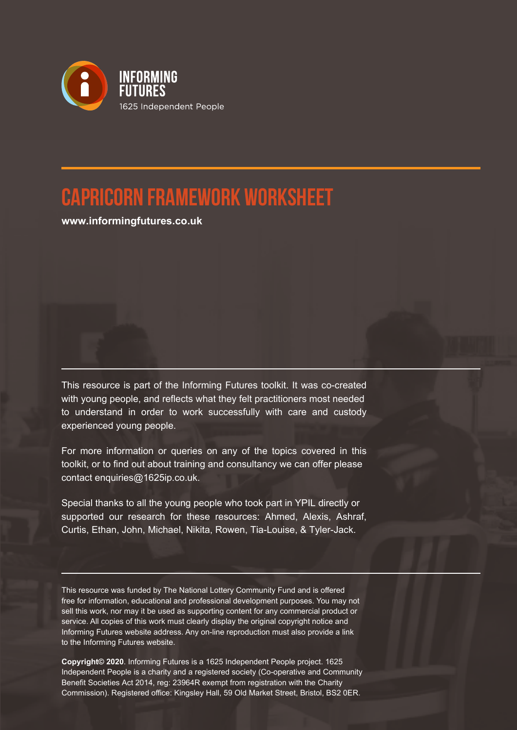

## **Capricorn Framework Worksheet**

**www.informingfutures.co.uk**

This resource is part of the Informing Futures toolkit. It was co-created with young people, and reflects what they felt practitioners most needed to understand in order to work successfully with care and custody experienced young people.

For more information or queries on any of the topics covered in this toolkit, or to find out about training and consultancy we can offer please contact enquiries@1625ip.co.uk.

Special thanks to all the young people who took part in YPIL directly or supported our research for these resources: Ahmed, Alexis, Ashraf, Curtis, Ethan, John, Michael, Nikita, Rowen, Tia-Louise, & Tyler-Jack.

This resource was funded by The National Lottery Community Fund and is offered free for information, educational and professional development purposes. You may not sell this work, nor may it be used as supporting content for any commercial product or service. All copies of this work must clearly display the original copyright notice and Informing Futures website address. Any on-line reproduction must also provide a link to the Informing Futures website.

**Copyright© 2020**. Informing Futures is a 1625 Independent People project. 1625 Independent People is a charity and a registered society (Co-operative and Community Benefit Societies Act 2014, reg: 23964R exempt from registration with the Charity Commission). Registered office: Kingsley Hall, 59 Old Market Street, Bristol, BS2 0ER.